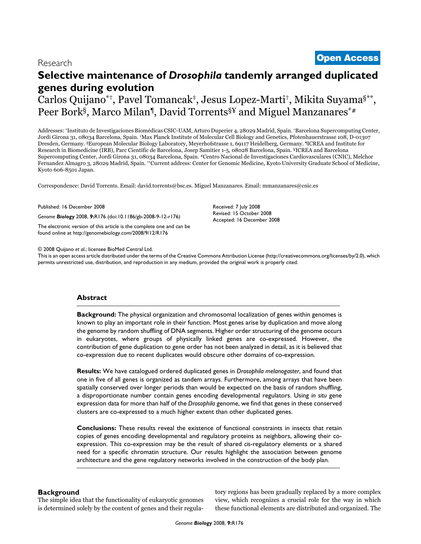# **Selective maintenance of** *Drosophila* **tandemly arranged duplicated genes during evolution**

Carlos Quijano\*†, Pavel Tomancak‡, Jesus Lopez-Marti†, Mikita Suyama§\*\*, Peer Bork§, Marco Milan¶, David Torrents§¥ and Miguel Manzanares<sup>\*#</sup>

Addresses: \*Instituto de Investigaciones Biomédicas CSIC-UAM, Arturo Duperier 4, 28029 Madrid, Spain. †Barcelona Supercomputing Center, Jordi Girona 31, 08034 Barcelona, Spain. ‡Max Planck Institute of Molecular Cell Biology and Genetics, Pfotenhauerstrasse 108, D-01307 Dresden, Germany. §European Molecular Biology Laboratory, Meyerhofstrasse 1, 69117 Heidelberg, Germany. ¶ICREA and Institute for Research in Biomedicine (IRB), Parc Científic de Barcelona, Josep Samitier 1-5, 08028 Barcelona, Spain. ¥ICREA and Barcelona Supercomputing Center, Jordi Girona 31, 08034 Barcelona, Spain. #Centro Nacional de Investigaciones Cardiovasculares (CNIC), Melchor Fernandez Almagro 3, 28029 Madrid, Spain. \*\*Current address: Center for Genomic Medicine, Kyoto University Graduate School of Medicine, Kyoto 606-8501 Japan.

Correspondence: David Torrents. Email: david.torrents@bsc.es. Miguel Manzanares. Email: mmanzanares@cnic.es

Published: 16 December 2008

*Genome Biology* 2008, **9:**R176 (doi:10.1186/gb-2008-9-12-r176)

[The electronic version of this article is the complete one and can be](http://genomebiology.com/2008/9/12/R176)  found online at http://genomebiology.com/2008/9/12/R176

© 2008 Quijano *et al*.; licensee BioMed Central Ltd.

[This is an open access article distributed under the terms of the Creative Commons Attribution License \(http://creativecommons.org/licenses/by/2.0\), which](http://creativecommons.org/licenses/by/2.0)  permits unrestricted use, distribution, and reproduction in any medium, provided the original work is properly cited.

Received: 7 July 2008 Revised: 15 October 2008 Accepted: 16 December 2008

# **Abstract**

**Background:** The physical organization and chromosomal localization of genes within genomes is known to play an important role in their function. Most genes arise by duplication and move along the genome by random shuffling of DNA segments. Higher order structuring of the genome occurs in eukaryotes, where groups of physically linked genes are co-expressed. However, the contribution of gene duplication to gene order has not been analyzed in detail, as it is believed that co-expression due to recent duplicates would obscure other domains of co-expression.

**Results:** We have catalogued ordered duplicated genes in *Drosophila melanogaster*, and found that one in five of all genes is organized as tandem arrays. Furthermore, among arrays that have been spatially conserved over longer periods than would be expected on the basis of random shuffling, a disproportionate number contain genes encoding developmental regulators. Using *in situ* gene expression data for more than half of the *Drosophila* genome, we find that genes in these conserved clusters are co-expressed to a much higher extent than other duplicated genes.

**Conclusions:** These results reveal the existence of functional constraints in insects that retain copies of genes encoding developmental and regulatory proteins as neighbors, allowing their coexpression. This co-expression may be the result of shared *cis*-regulatory elements or a shared need for a specific chromatin structure. Our results highlight the association between genome architecture and the gene regulatory networks involved in the construction of the body plan.

# **Background**

The simple idea that the functionality of eukaryotic genomes is determined solely by the content of genes and their regulatory regions has been gradually replaced by a more complex view, which recognizes a crucial role for the way in which these functional elements are distributed and organized. The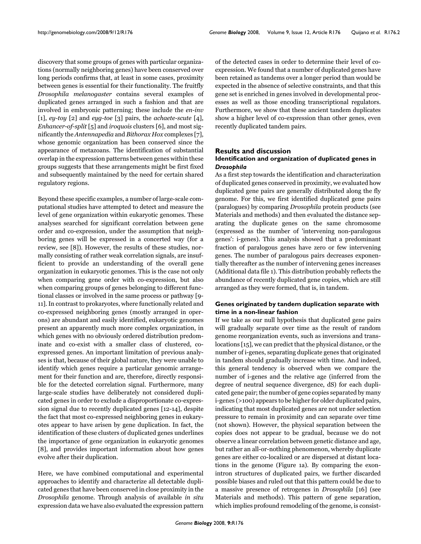discovery that some groups of genes with particular organizations (normally neighboring genes) have been conserved over long periods confirms that, at least in some cases, proximity between genes is essential for their functionality. The fruitfly *Drosophila melanogaster* contains several examples of duplicated genes arranged in such a fashion and that are involved in embryonic patterning; these include the *en-inv* [1], *ey-toy* [2] and *eyg-toe* [3] pairs, the *achaete-scute* [4], *Enhancer-of-split* [5] and *iroquois* clusters [6], and most significantly the *Antennapedia* and *Bithorax Hox* complexes [7], whose genomic organization has been conserved since the appearance of metazoans. The identification of substantial overlap in the expression patterns between genes within these groups suggests that these arrangements might be first fixed and subsequently maintained by the need for certain shared regulatory regions.

Beyond these specific examples, a number of large-scale computational studies have attempted to detect and measure the level of gene organization within eukaryotic genomes. These analyses searched for significant correlation between gene order and co-expression, under the assumption that neighboring genes will be expressed in a concerted way (for a review, see [8]). However, the results of these studies, normally consisting of rather weak correlation signals, are insufficient to provide an understanding of the overall gene organization in eukaryotic genomes. This is the case not only when comparing gene order with co-expression, but also when comparing groups of genes belonging to different functional classes or involved in the same process or pathway [9- 11]. In contrast to prokaryotes, where functionally related and co-expressed neighboring genes (mostly arranged in operons) are abundant and easily identified, eukaryotic genomes present an apparently much more complex organization, in which genes with no obviously ordered distribution predominate and co-exist with a smaller class of clustered, coexpressed genes. An important limitation of previous analyses is that, because of their global nature, they were unable to identify which genes require a particular genomic arrangement for their function and are, therefore, directly responsible for the detected correlation signal. Furthermore, many large-scale studies have deliberately not considered duplicated genes in order to exclude a disproportionate co-expression signal due to recently duplicated genes [12-14], despite the fact that most co-expressed neighboring genes in eukaryotes appear to have arisen by gene duplication. In fact, the identification of these clusters of duplicated genes underlines the importance of gene organization in eukaryotic genomes [8], and provides important information about how genes evolve after their duplication.

Here, we have combined computational and experimental approaches to identify and characterize all detectable duplicated genes that have been conserved in close proximity in the *Drosophila* genome. Through analysis of available *in situ* expression data we have also evaluated the expression pattern

of the detected cases in order to determine their level of coexpression. We found that a number of duplicated genes have been retained as tandems over a longer period than would be expected in the absence of selective constraints, and that this gene set is enriched in genes involved in developmental processes as well as those encoding transcriptional regulators. Furthermore, we show that these ancient tandem duplicates show a higher level of co-expression than other genes, even recently duplicated tandem pairs.

# **Results and discussion**

### **Identification and organization of duplicated genes in**  *Drosophila*

As a first step towards the identification and characterization of duplicated genes conserved in proximity, we evaluated how duplicated gene pairs are generally distributed along the fly genome. For this, we first identified duplicated gene pairs (paralogues) by comparing *Drosophila* protein products (see Materials and methods) and then evaluated the distance separating the duplicate genes on the same chromosome (expressed as the number of 'intervening non-paralogous genes': i-genes). This analysis showed that a predominant fraction of paralogous genes have zero or few intervening genes. The number of paralogous pairs decreases exponentially thereafter as the number of intervening genes increases (Additional data file 1). This distribution probably reflects the abundance of recently duplicated gene copies, which are still arranged as they were formed, that is, in tandem.

### **Genes originated by tandem duplication separate with time in a non-linear fashion**

If we take as our null hypothesis that duplicated gene pairs will gradually separate over time as the result of random genome reorganization events, such as inversions and translocations [15], we can predict that the physical distance, or the number of i-genes, separating duplicate genes that originated in tandem should gradually increase with time. And indeed, this general tendency is observed when we compare the number of i-genes and the relative age (inferred from the degree of neutral sequence divergence, dS) for each duplicated gene pair; the number of gene copies separated by many i-genes (>100) appears to be higher for older duplicated pairs, indicating that most duplicated genes are not under selection pressure to remain in proximity and can separate over time (not shown). However, the physical separation between the copies does not appear to be gradual, because we do not observe a linear correlation between genetic distance and age, but rather an all-or-nothing phenomenon, whereby duplicate genes are either co-localized or are dispersed at distant locations in the genome (Figure 1a). By comparing the exonintron structures of duplicated pairs, we further discarded possible biases and ruled out that this pattern could be due to a massive presence of retrogenes in *Drosophila* [16] (see Materials and methods). This pattern of gene separation, which implies profound remodeling of the genome, is consist-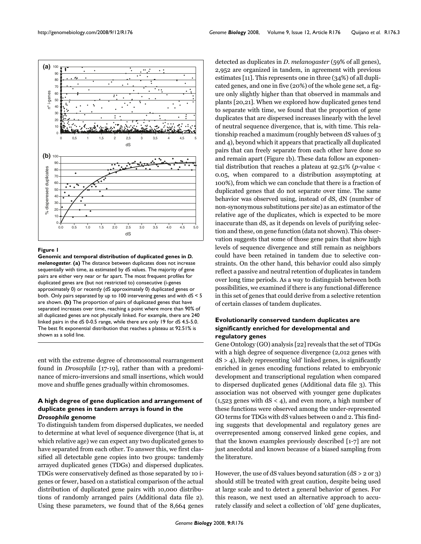

#### Genomic and temporal distributi **Figure 1** on of duplicated genes in *D. melanogaster*

**Genomic and temporal distribution of duplicated genes in** *D. melanogaster*. **(a)** The distance between duplicates does not increase sequentially with time, as estimated by dS values. The majority of gene pairs are either very near or far apart. The most frequent profiles for duplicated genes are (but not restricted to) consecutive (i-genes approximately 0) or recently (dS approximately 0) duplicated genes or both. Only pairs separated by up to 100 intervening genes and with dS < 5 are shown. **(b)** The proportion of pairs of duplicated genes that have separated increases over time, reaching a point where more than 90% of all duplicated genes are not physically linked. For example, there are 240 linked pairs in the dS 0-0.5 range, while there are only 19 for dS 4.5-5.0. The best fit exponential distribution that reaches a plateau at 92.51% is shown as a solid line.

ent with the extreme degree of chromosomal rearrangement found in *Drosophila* [17-19], rather than with a predominance of micro-inversions and small insertions, which would move and shuffle genes gradually within chromosomes.

# **A high degree of gene duplication and arrangement of duplicate genes in tandem arrays is found in the**  *Drosophila* **genome**

To distinguish tandem from dispersed duplicates, we needed to determine at what level of sequence divergence (that is, at which relative age) we can expect any two duplicated genes to have separated from each other. To answer this, we first classified all detectable gene copies into two groups: tandemly arrayed duplicated genes (TDGs) and dispersed duplicates. TDGs were conservatively defined as those separated by 10 igenes or fewer, based on a statistical comparison of the actual distribution of duplicated gene pairs with 10,000 distributions of randomly arranged pairs (Additional data file 2). Using these parameters, we found that of the 8,664 genes

detected as duplicates in *D. melanogaster* (59% of all genes), 2,952 are organized in tandem, in agreement with previous estimates [11]. This represents one in three (34%) of all duplicated genes, and one in five (20%) of the whole gene set, a figure only slightly higher than that observed in mammals and plants [20,21]. When we explored how duplicated genes tend to separate with time, we found that the proportion of gene duplicates that are dispersed increases linearly with the level of neutral sequence divergence, that is, with time. This relationship reached a maximum (roughly between dS values of 3 and 4), beyond which it appears that practically all duplicated pairs that can freely separate from each other have done so and remain apart (Figure 1b). These data follow an exponential distribution that reaches a plateau at 92.51% (*p*-value < 0.05, when compared to a distribution assymptoting at 100%), from which we can conclude that there is a fraction of duplicated genes that do not separate over time. The same behavior was observed using, instead of dS, dN (number of non-synonymous substitutions per site) as an estimator of the relative age of the duplicates, which is expected to be more inaccurate than dS, as it depends on levels of purifying selection and these, on gene function (data not shown). This observation suggests that some of those gene pairs that show high levels of sequence divergence and still remain as neighbors could have been retained in tandem due to selective constraints. On the other hand, this behavior could also simply reflect a passive and neutral retention of duplicates in tandem over long time periods. As a way to distinguish between both possibilities, we examined if there is any functional difference in this set of genes that could derive from a selective retention of certain classes of tandem duplicates.

# **Evolutionarily conserved tandem duplicates are significantly enriched for developmental and regulatory genes**

Gene Ontology (GO) analysis [22] reveals that the set of TDGs with a high degree of sequence divergence (2,012 genes with dS > 4), likely representing 'old' linked genes, is significantly enriched in genes encoding functions related to embryonic development and transcriptional regulation when compared to dispersed duplicated genes (Additional data file 3). This association was not observed with younger gene duplicates  $(1,523$  genes with  $dS < 4$ ), and even more, a high number of these functions were observed among the under-represented GO terms for TDGs with dS values between 0 and 2. This finding suggests that developmental and regulatory genes are overrepresented among conserved linked gene copies, and that the known examples previously described [1-7] are not just anecdotal and known because of a biased sampling from the literature.

However, the use of dS values beyond saturation  $(dS > 2 \text{ or } 3)$ should still be treated with great caution, despite being used at large scale and to detect a general behavior of genes. For this reason, we next used an alternative approach to accurately classify and select a collection of 'old' gene duplicates,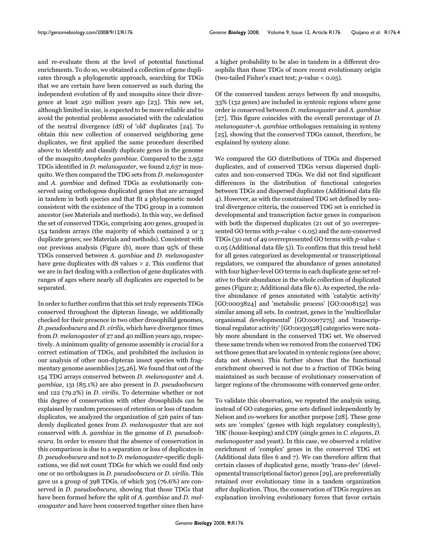and re-evaluate them at the level of potential functional enrichments. To do so, we obtained a collection of gene duplicates through a phylogenetic approach, searching for TDGs that we are certain have been conserved as such during the independent evolution of fly and mosquito since their divergence at least 250 million years ago [23]. This new set, although limited in size, is expected to be more reliable and to avoid the potential problems associated with the calculation of the neutral divergence (dS) of 'old' duplicates [24]. To obtain this new collection of conserved neighboring gene duplicates, we first applied the same procedure described above to identify and classify duplicate genes in the genome of the mosquito *Anopheles gambiae*. Compared to the 2,952 TDGs identified in *D. melanogaster*, we found 2,637 in mosquito. We then compared the TDG sets from *D. melanogaster* and *A. gambiae* and defined TDGs as evolutionarily conserved using orthologous duplicated genes that are arranged in tandem in both species and that fit a phylogenetic model consistent with the existence of the TDG group in a common ancestor (see Materials and methods). In this way, we defined the set of conserved TDGs, comprising 400 genes, grouped in 154 tandem arrays (the majority of which contained 2 or 3 duplicate genes; see Materials and methods). Consistent with our previous analysis (Figure 1b), more than 95% of these TDGs conserved between *A. gambiae* and *D. melanogaster* have gene duplicates with dS values > 2. This confirms that we are in fact dealing with a collection of gene duplicates with ranges of ages where nearly all duplicates are expected to be separated.

In order to further confirm that this set truly represents TDGs conserved throughout the dipteran lineage, we additionally checked for their presence in two other drosophilid genomes, *D. pseudoobscura* and *D. virilis*, which have divergence times from *D. melanogaster* of 27 and 40 million years ago, respectively. A minimum quality of genome assembly is crucial for a correct estimation of TDGs, and prohibited the inclusion in our analysis of other non-dipteran insect species with fragmentary genome assemblies [25,26]. We found that out of the 154 TDG arrays conserved between *D. melanogaster* and *A. gambiae*, 131 (85.1%) are also present in *D. pseudoobscura* and 122 (79.2%) in *D. virilis*. To determine whether or not this degree of conservation with other drosophilids can be explained by random processes of retention or loss of tandem duplicates, we analyzed the organization of 526 pairs of tandemly duplicated genes from *D. melanogaster* that are not conserved with *A. gambiae* in the genome of *D. pseudoobscura*. In order to ensure that the absence of conservation in this comparison is due to a separation or loss of duplicates in *D. pseudoobscura* and not to *D. melanogaster*-specific duplications, we did not count TDGs for which we could find only one or no orthologues in *D. pseudoobscura* or *D. virilis*. This gave us a group of 398 TDGs, of which 305 (76.6%) are conserved in *D. pseudoobscura*, showing that those TDGs that have been formed before the split of *A. gambiae* and *D. melanogaster* and have been conserved together since then have

a higher probability to be also in tandem in a different drosophila than those TDGs of more recent evolutionary origin (two-tailed Fisher's exact test; *p*-value < 0.05).

Of the conserved tandem arrays between fly and mosquito, 33% (132 genes) are included in syntenic regions where gene order is conserved between *D. melanogaster* and *A. gambiae* [27]. This figure coincides with the overall percentage of *D. melanogaster*-*A. gambiae* orthologues remaining in synteny [25], showing that the conserved TDGs cannot, therefore, be explained by synteny alone.

We compared the GO distributions of TDGs and dispersed duplicates, and of conserved TDGs versus dispersed duplicates and non-conserved TDGs. We did not find significant differences in the distribution of functional categories between TDGs and dispersed duplicates (Additional data file 4). However, as with the constrained TDG set defined by neutral divergence criteria, the conserved TDG set is enriched in developmental and transcription factor genes in comparison with both the dispersed duplicates (21 out of 30 overrepresented GO terms with *p*-value < 0.05) and the non-conserved TDGs (30 out of 49 overrepresented GO terms with *p*-value < 0.05 (Additional data file 5)). To confirm that this trend held for all genes categorized as developmental or transcriptional regulators, we compared the abundance of genes annotated with four higher-level GO terms in each duplicate gene set relative to their abundance in the whole collection of duplicated genes (Figure 2; Additional data file 6). As expected, the relative abundance of genes annotated with 'catalytic activity' [GO:0003824] and 'metabolic process' [GO:0008152] was similar among all sets. In contrast, genes in the 'multicellular organismal developmental' [GO:0007275] and 'transcriptional regulator activity' [GO:0030528] categories were notably more abundant in the conserved TDG set. We observed these same trends when we removed from the conserved TDG set those genes that are located in syntenic regions (see above; data not shown). This further shows that the functional enrichment observed is not due to a fraction of TDGs being maintained as such because of evolutionary conservation of larger regions of the chromosome with conserved gene order.

To validate this observation, we repeated the analysis using, instead of GO categories, gene sets defined independently by Nelson and co-workers for another purpose [28]. These gene sets are 'complex' (genes with high regulatory complexity), 'HK' (house-keeping) and CDY (single genes in *C. elegans*, *D. melanogaster* and yeast). In this case, we observed a relative enrichment of 'complex' genes in the conserved TDG set (Additional data files 6 and 7). We can therefore affirm that certain classes of duplicated gene, mostly 'trans-dev' (developmental transcriptional factor) genes [29], are preferentially retained over evolutionary time in a tandem organization after duplication. Thus, the conservation of TDGs requires an explanation involving evolutionary forces that favor certain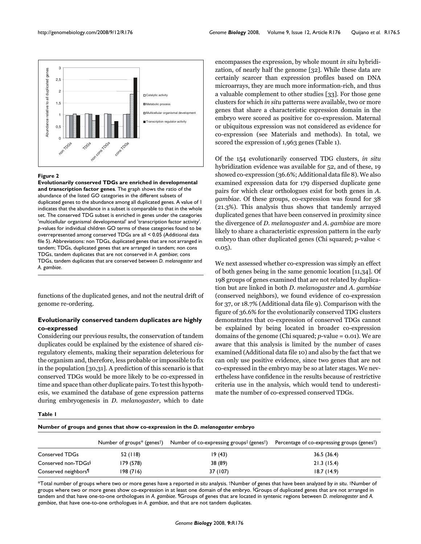

#### Figure 2

**Evolutionarily conserved TDGs are enriched in developmental and transcription factor genes**. The graph shows the ratio of the abundance of the listed GO categories in the different subsets of duplicated genes to the abundance among all duplicated genes. A value of 1 indicates that the abundance in a subset is comparable to that in the whole set. The conserved TDG subset is enriched in genes under the categories 'multicellular organismal developmental' and 'transcription factor activity'. *p*-values for individual children GO terms of these categories found to be overrepresented among conserved TDGs are all < 0.05 (Additional data file 5). Abbreviations: non TDGs, duplicated genes that are not arranged in tandem; TDGs, duplicated genes that are arranged in tandem; non cons TDGs, tandem duplicates that are not conserved in *A. gambiae*; cons TDGs, tandem duplicates that are conserved between *D. melanogaster* and *A. gambiae*.

functions of the duplicated genes, and not the neutral drift of genome re-ordering.

# **Evolutionarily conserved tandem duplicates are highly co-expressed**

Considering our previous results, the conservation of tandem duplicates could be explained by the existence of shared *cis*regulatory elements, making their separation deleterious for the organism and, therefore, less probable or impossible to fix in the population [30,31]. A prediction of this scenario is that conserved TDGs would be more likely to be co-expressed in time and space than other duplicate pairs. To test this hypothesis, we examined the database of gene expression patterns during embryogenesis in *D. melanogaster*, which to date

encompasses the expression, by whole mount *in situ* hybridization, of nearly half the genome [32]. While these data are certainly scarcer than expression profiles based on DNA microarrays, they are much more information-rich, and thus a valuable complement to other studies [33]. For those gene clusters for which *in situ* patterns were available, two or more genes that share a characteristic expression domain in the embryo were scored as positive for co-expression. Maternal or ubiquitous expression was not considered as evidence for co-expression (see Materials and methods). In total, we scored the expression of 1,963 genes (Table 1).

Of the 154 evolutionarily conserved TDG clusters, *in situ* hybridization evidence was available for 52, and of these, 19 showed co-expression (36.6%; Additional data file 8). We also examined expression data for 179 dispersed duplicate gene pairs for which clear orthologues exist for both genes in *A. gambiae*. Of these groups, co-expression was found for 38 (21.3%). This analysis thus shows that tandemly arrayed duplicated genes that have been conserved in proximity since the divergence of *D. melanogaster* and *A. gambiae* are more likely to share a characteristic expression pattern in the early embryo than other duplicated genes (Chi squared; *p*-value < 0.05).

We next assessed whether co-expression was simply an effect of both genes being in the same genomic location [11,34]. Of 198 groups of genes examined that are not related by duplication but are linked in both *D. melanogaster* and *A. gambiae* (conserved neighbors), we found evidence of co-expression for 37, or 18.7% (Additional data file 9). Comparison with the figure of 36.6% for the evolutionarily conserved TDG clusters demonstrates that co-expression of conserved TDGs cannot be explained by being located in broader co-expression domains of the genome (Chi squared; *p*-value = 0.01). We are aware that this analysis is limited by the number of cases examined (Additional data file 10) and also by the fact that we can only use positive evidence, since two genes that are not co-expressed in the embryo may be so at later stages. We nevertheless have confidence in the results because of restrictive criteria use in the analysis, which would tend to underestimate the number of co-expressed conserved TDGs.

#### **Table 1**

**Number of groups and genes that show co-expression in the** *D. melanogaster* **embryo**

|                                  | Number of groups* (genes†) | Number of co-expressing groups <sup>‡</sup> (genes <sup>†</sup> ) | Percentage of co-expressing groups (genes <sup>†</sup> ) |
|----------------------------------|----------------------------|-------------------------------------------------------------------|----------------------------------------------------------|
| Conserved TDGs                   | 52(118)                    | 19(43)                                                            | 36.5(36.4)                                               |
| Conserved non-TDGs§              | 179 (578)                  | 38 (89)                                                           | 21.3(15.4)                                               |
| Conserved neighbors <sup>¶</sup> | 198(716)                   | 37 (107)                                                          | 18.7(14.9)                                               |

\*Total number of groups where two or more genes have a reported *in situ* analysis. †Number of genes that have been analyzed by *in situ*. ‡Number of groups where two or more genes show co-expression in at least one domain of the embryo. §Groups of duplicated genes that are not arranged in tandem and that have one-to-one orthologues in *A. gambiae*. ¶Groups of genes that are located in syntenic regions between *D. melanogaster* and *A. gambiae*, that have one-to-one orthologues in *A. gambiae*, and that are not tandem duplicates.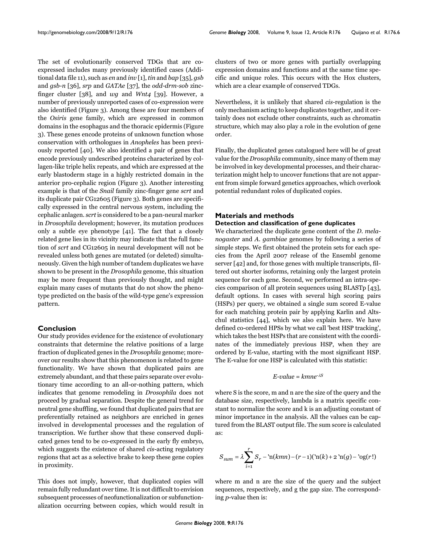The set of evolutionarily conserved TDGs that are coexpressed includes many previously identified cases (Additional data file 11), such as *en* and *inv* [1], *tin* and *bap* [35], *gsb* and *gsb-n* [36], *srp* and *GATAe* [37], the *odd-drm-sob* zincfinger cluster [38], and *wg* and *Wnt4* [[39\]](#page-10-0). However, a number of previously unreported cases of co-expression were also identified (Figure 3). Among these are four members of the *Osiris* gene family, which are expressed in common domains in the esophagus and the thoracic epidermis (Figure 3). These genes encode proteins of unknown function whose conservation with orthologues in *Anopheles* has been previously reported [40]. We also identified a pair of genes that encode previously undescribed proteins characterized by collagen-like triple helix repeats, and which are expressed at the early blastoderm stage in a highly restricted domain in the anterior pro-cephalic region (Figure 3). Another interesting example is that of the *Snail* family zinc-finger gene *scrt* and its duplicate pair CG12605 (Figure 3). Both genes are specifically expressed in the central nervous system, including the cephalic anlagen. *scrt* is considered to be a pan-neural marker in *Drosophila* development; however, its mutation produces only a subtle eye phenotype [41]. The fact that a closely related gene lies in its vicinity may indicate that the full function of *scrt* and CG12605 in neural development will not be revealed unless both genes are mutated (or deleted) simultaneously. Given the high number of tandem duplicates we have shown to be present in the *Drosophila* genome, this situation may be more frequent than previously thought, and might explain many cases of mutants that do not show the phenotype predicted on the basis of the wild-type gene's expression pattern.

# **Conclusion**

Our study provides evidence for the existence of evolutionary constraints that determine the relative positions of a large fraction of duplicated genes in the *Drosophila* genome; moreover our results show that this phenomenon is related to gene functionality. We have shown that duplicated pairs are extremely abundant, and that these pairs separate over evolutionary time according to an all-or-nothing pattern, which indicates that genome remodeling in *Drosophila* does not proceed by gradual separation. Despite the general trend for neutral gene shuffling, we found that duplicated pairs that are preferentially retained as neighbors are enriched in genes involved in developmental processes and the regulation of transcription. We further show that these conserved duplicated genes tend to be co-expressed in the early fly embryo, which suggests the existence of shared *cis*-acting regulatory regions that act as a selective brake to keep these gene copies in proximity.

This does not imply, however, that duplicated copies will remain fully redundant over time. It is not difficult to envision subsequent processes of neofunctionalization or subfunctionalization occurring between copies, which would result in clusters of two or more genes with partially overlapping expression domains and functions and at the same time specific and unique roles. This occurs with the Hox clusters, which are a clear example of conserved TDGs.

Nevertheless, it is unlikely that shared *cis*-regulation is the only mechanism acting to keep duplicates together, and it certainly does not exclude other constraints, such as chromatin structure, which may also play a role in the evolution of gene order.

Finally, the duplicated genes catalogued here will be of great value for the *Drosophila* community, since many of them may be involved in key developmental processes, and their characterization might help to uncover functions that are not apparent from simple forward genetics approaches, which overlook potential redundant roles of duplicated copies.

# **Materials and methods Detection and classification of gene duplicates**

We characterized the duplicate gene content of the *D. melanogaster* and *A. gambiae* genomes by following a series of simple steps. We first obtained the protein sets for each species from the April 2007 release of the Ensembl genome server [42] and, for those genes with multiple transcripts, filtered out shorter isoforms, retaining only the largest protein sequence for each gene. Second, we performed an intra-species comparison of all protein sequences using BLASTp [43], default options. In cases with several high scoring pairs (HSPs) per query, we obtained a single sum scored E-value for each matching protein pair by applying Karlin and Altschul statistics [44], which we also explain here. We have defined co-ordered HPSs by what we call 'best HSP tracking', which takes the best HSPs that are consistent with the coordinates of the immediately previous HSP, when they are ordered by E-value, starting with the most significant HSP. The E-value for one HSP is calculated with this statistic:

#### *E-value* = *kmne*-λ*<sup>S</sup>*

where S is the score, m and n are the size of the query and the database size, respectively, lambda is a matrix specific constant to normalize the score and k is an adjusting constant of minor importance in the analysis. All the values can be captured from the BLAST output file. The sum score is calculated as:

$$
S_{sum} = \lambda \sum_{i=1}^{r} S_r - \ln(kmn) - (r-1) (\ln(k) + 2 \ln(g) - \log(r))
$$

where m and n are the size of the query and the subject sequences, respectively, and g the gap size. The corresponding *p*-value then is: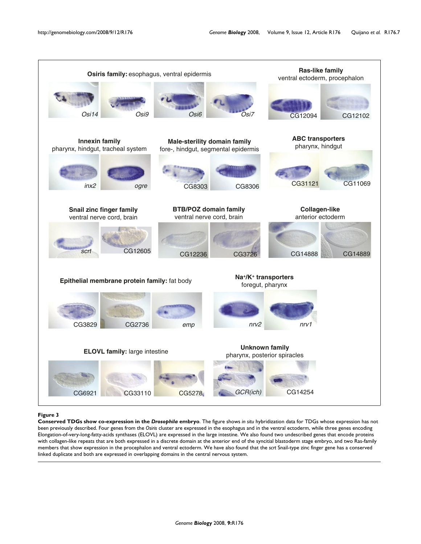

#### Figure 3

**Conserved TDGs show co-expression in the** *Drosophila* **embryo**. The figure shows *in situ* hybridization data for TDGs whose expression has not been previously described. Four genes from the *Osiris* cluster are expressed in the esophagus and in the ventral ectoderm, while three genes encoding Elongation-of-very-long-fatty-acids synthases (ELOVL) are expressed in the large intestine. We also found two undescribed genes that encode proteins with collagen-like repeats that are both expressed in a discrete domain at the anterior end of the syncitial blastoderm stage embryo, and two Ras-family members that show expression in the procephalon and ventral ectoderm. We have also found that the *scrt* Snail-type zinc finger gene has a conserved linked duplicate and both are expressed in overlapping domains in the central nervous system.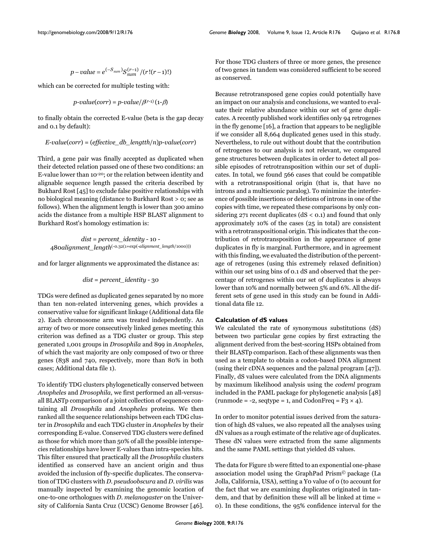$$
p-value = e^{(-S_{sum})}S_{sum}^{(r-1)}/(r!(r-1)!)
$$

which can be corrected for multiple testing with:

$$
p
$$
-value( $corr$ ) =  $p$ -value/ $\beta$ <sup>(r-1)</sup>(1- $\beta$ )

to finally obtain the corrected E-value (beta is the gap decay and 0.1 by default):

*E-value*(*corr*) = (*effective\_db\_lengtth*/*n*)*p-value*(*corr*)

Third, a gene pair was finally accepted as duplicated when their detected relation passed one of these two conditions: an E-value lower than 10-20; or the relation between identity and alignable sequence length passed the criteria described by Bukhard Rost [45] to exclude false positive relationships with no biological meaning (distance to Burkhard Rost > 0; see as follows). When the alignment length is lower than 300 amino acids the distance from a multiple HSP BLAST alignment to Burkhard Rost's homology estimation is:

*dist* = *percent\_identity* - 10 - 480*alignment\_length*(-0.32(1+exp(-*alignment\_length*/1000)))

and for larger alignments we approximated the distance as:

$$
dist = percent\_identity - 30
$$

TDGs were defined as duplicated genes separated by no more than ten non-related intervening genes, which provides a conservative value for significant linkage (Additional data file 2). Each chromosome arm was treated independently. An array of two or more consecutively linked genes meeting this criterion was defined as a TDG cluster or group. This step generated 1,001 groups in *Drosophila* and 899 in *Anopheles*, of which the vast majority are only composed of two or three genes (838 and 740, respectively, more than 80% in both cases; Additional data file 1).

To identify TDG clusters phylogenetically conserved between *Anopheles* and *Drosophila*, we first performed an all-versusall BLASTp comparison of a joint collection of sequences containing all *Drosophila* and *Anopheles* proteins. We then ranked all the sequence relationships between each TDG cluster in *Drosophila* and each TDG cluster in *Anopheles* by their corresponding E-value. Conserved TDG clusters were defined as those for which more than 50% of all the possible interspecies relationships have lower E-values than intra-species hits. This filter ensured that practically all the *Drosophila* clusters identified as conserved have an ancient origin and thus avoided the inclusion of fly-specific duplicates. The conservation of TDG clusters with *D. pseudoobscura* and *D. virilis* was manually inspected by examining the genomic location of one-to-one orthologues with *D. melanogaster* on the University of California Santa Cruz (UCSC) Genome Browser [46].

For those TDG clusters of three or more genes, the presence of two genes in tandem was considered sufficient to be scored as conserved.

Because retrotransposed gene copies could potentially have an impact on our analysis and conclusions, we wanted to evaluate their relative abundance within our set of gene duplicates. A recently published work identifies only 94 retrogenes in the fly genome [16], a fraction that appears to be negligible if we consider all 8,664 duplicated genes used in this study. Nevertheless, to rule out without doubt that the contribution of retrogenes to our analysis is not relevant, we compared gene structures between duplicates in order to detect all possible episodes of retrotransposition within our set of duplicates. In total, we found 566 cases that could be compatible with a retrotranspositional origin (that is, that have no introns and a multiexonic paralog). To minimize the interference of possible insertions or deletions of introns in one of the copies with time, we repeated these comparisons by only considering 271 recent duplicates  $(dS < 0.1)$  and found that only approximately 10% of the cases (25 in total) are consistent with a retrotranspositional origin. This indicates that the contribution of retrotransposition in the appearance of gene duplicates in fly is marginal. Furthermore, and in agreement with this finding, we evaluated the distribution of the percentage of retrogenes (using this extremely relaxed definition) within our set using bins of 0.1 dS and observed that the percentage of retrogenes within our set of duplicates is always lower than 10% and normally between 5% and 6%. All the different sets of gene used in this study can be found in Additional data file 12.

#### **Calculation of dS values**

We calculated the rate of synonymous substitutions (dS) between two particular gene copies by first extracting the alignment derived from the best-scoring HSPs obtained from their BLASTp comparison. Each of these alignments was then used as a template to obtain a codon-based DNA alignment (using their cDNA sequences and the pal2nal program [47]). Finally, dS values were calculated from the DNA alignments by maximum likelihood analysis using the *codeml* program included in the PAML package for phylogenetic analysis [48] (runmode = -2, seqtype = 1, and CodonFreq =  $F_3 \times 4$ ).

In order to monitor potential issues derived from the saturation of high dS values, we also repeated all the analyses using dN values as a rough estimate of the relative age of duplicates. These dN values were extracted from the same alignments and the same PAML settings that yielded dS values.

The data for Figure 1b were fitted to an exponential one-phase association model using the GraphPad Prism© package (La Jolla, California, USA), setting a Y0 value of 0 (to account for the fact that we are examining duplicates originated in tandem, and that by definition these will all be linked at time = 0). In these conditions, the 95% confidence interval for the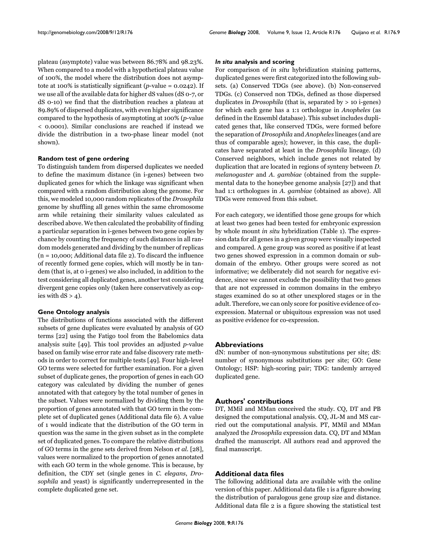plateau (asymptote) value was between 86.78% and 98.23%. When compared to a model with a hypothetical plateau value of 100%, the model where the distribution does not asymptote at 100% is statistically significant (*p*-value = 0.0242). If we use all of the available data for higher dS values (dS 0-7, or dS 0-10) we find that the distribution reaches a plateau at 89.89% of dispersed duplicates, with even higher significance compared to the hypothesis of asymptoting at 100% (*p*-value < 0.0001). Similar conclusions are reached if instead we divide the distribution in a two-phase linear model (not shown).

#### **Random test of gene ordering**

To distinguish tandem from dispersed duplicates we needed to define the maximum distance (in i-genes) between two duplicated genes for which the linkage was significant when compared with a random distribution along the genome. For this, we modeled 10,000 random replicates of the *Drosophila* genome by shuffling all genes within the same chromosome arm while retaining their similarity values calculated as described above. We then calculated the probability of finding a particular separation in i-genes between two gene copies by chance by counting the frequency of such distances in all random models generated and dividing by the number of replicas (n = 10,000; Additional data file 2). To discard the influence of recently formed gene copies, which will mostly be in tandem (that is, at 0 i-genes) we also included, in addition to the test considering all duplicated genes, another test considering divergent gene copies only (taken here conservatively as copies with  $dS > 4$ ).

#### **Gene Ontology analysis**

The distributions of functions associated with the different subsets of gene duplicates were evaluated by analysis of GO terms [22] using the Fatigo tool from the Babelomics data analysis suite [49]. This tool provides an adjusted *p*-value based on family wise error rate and false discovery rate methods in order to correct for multiple tests [49]. Four high-level GO terms were selected for further examination. For a given subset of duplicate genes, the proportion of genes in each GO category was calculated by dividing the number of genes annotated with that category by the total number of genes in the subset. Values were normalized by dividing them by the proportion of genes annotated with that GO term in the complete set of duplicated genes (Additional data file 6). A value of 1 would indicate that the distribution of the GO term in question was the same in the given subset as in the complete set of duplicated genes. To compare the relative distributions of GO terms in the gene sets derived from Nelson *et al*. [28], values were normalized to the proportion of genes annotated with each GO term in the whole genome. This is because, by definition, the CDY set (single genes in *C. elegans*, *Drosophila* and yeast) is significantly underrepresented in the complete duplicated gene set.

#### *In situ* **analysis and scoring**

For comparison of *in situ* hybridization staining patterns, duplicated genes were first categorized into the following subsets. (a) Conserved TDGs (see above). (b) Non-conserved TDGs. (c) Conserved non TDGs, defined as those dispersed duplicates in *Drosophila* (that is, separated by > 10 i-genes) for which each gene has a 1:1 orthologue in *Anopheles* (as defined in the Ensembl database). This subset includes duplicated genes that, like conserved TDGs, were formed before the separation of *Drosophila* and *Anopheles* lineages (and are thus of comparable ages); however, in this case, the duplicates have separated at least in the *Drosophila* lineage. (d) Conserved neighbors, which include genes not related by duplication that are located in regions of synteny between *D. melanogaster* and *A. gambiae* (obtained from the supplemental data to the honeybee genome analysis [27]) and that had 1:1 orthologues in *A. gambiae* (obtained as above). All TDGs were removed from this subset.

For each category, we identified those gene groups for which at least two genes had been tested for embryonic expression by whole mount *in situ* hybridization (Table 1). The expression data for all genes in a given group were visually inspected and compared. A gene group was scored as positive if at least two genes showed expression in a common domain or subdomain of the embryo. Other groups were scored as not informative; we deliberately did not search for negative evidence, since we cannot exclude the possibility that two genes that are not expressed in common domains in the embryo stages examined do so at other unexplored stages or in the adult. Therefore, we can only score for positive evidence of coexpression. Maternal or ubiquitous expression was not used as positive evidence for co-expression.

# **Abbreviations**

dN: number of non-synonymous substitutions per site; dS: number of synonymous substitutions per site; GO: Gene Ontology; HSP: high-scoring pair; TDG: tandemly arrayed duplicated gene.

# **Authors' contributions**

DT, MMil and MMan conceived the study. CQ, DT and PB designed the computational analysis. CQ, JL-M and MS carried out the computational analysis. PT, MMil and MMan analyzed the *Drosophila* expression data. CQ, DT and MMan drafted the manuscript. All authors read and approved the final manuscript.

# **Additional data files**

The following additional data are available with the online version of this paper. Additional data file 1 is a figure showing the distribution of paralogous gene group size and distance. Additional data file 2 is a figure showing the statistical test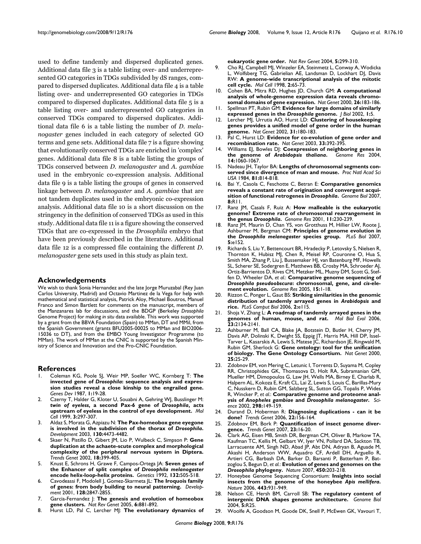used to define tandemly and dispersed duplicated genes. Additional data file 3 is a table listing over- and underrepresented GO categories in TDGs subdivided by dS ranges, compared to dispersed duplicates. Additional data file 4 is a table listing over- and underrepresented GO categories in TDGs compared to dispersed duplicates. Additional data file 5 is a table listing over- and underrepresented GO categories in conserved TDGs compared to dispersed duplicates. Additional data file 6 is a table listing the number of *D. melanogaster* genes included in each category of selected GO terms and gene sets. Additional data file 7 is a figure showing that evolutionarily conserved TDGs are enriched in 'complex' genes. Additional data file 8 is a table listing the groups of TDGs conserved between *D. melanogaster* and *A. gambia*e used in the embryonic co-expression analysis. Additional data file 9 is a table listing the groups of genes in conserved linkage between *D. melanogaster* and *A. gambia*e that are not tandem duplicates used in the embryonic co-expression analysis. Additional data file 10 is a short discussion on the stringency in the definition of conserved TDGs as used in this study. Additional data file 11 is a figure showing the conserved TDGs that are co-expressed in the *Drosophila* embryo that have been previously described in the literature. Additional data file 12 is a compressed file containing the different *D. melanogaster* gene sets used in this study as plain text.

#### **Acknowledgements**

We wish to thank Sonia Hernandez and the late Jorge Muruzabal (Rey Juan Carlos University, Madrid) and Octavio Martinez de la Vega for help with mathematical and statistical analysis, Patrick Aloy, Michael Boutros, Manuel Franco and Simon Bartlett for comments on the manuscript, members of the Manzanares lab for discussions, and the BDGP (Berkeley *Drosophila* Genome Project) for making *in situ* data available. This work was supported by a grant from the BBVA Foundation (Spain) to MMan, DT and MMil, from the Spanish Government (grants BFU2005-00025 to MMan and BIO2006- 15036 to DT), and from the EMBO Young Investigator Programme (to MMan). The work of MMan at the CNIC is supported by the Spanish Ministry of Science and Innovation and the Pro-CNIC Foundation.

#### **References**

- 1. Coleman KG, Poole SJ, Weir MP, Soeller WC, Kornberg T: **The invected gene of** *Drosophila***[: sequence analysis and expres](http://www.ncbi.nlm.nih.gov/entrez/query.fcgi?cmd=Retrieve&db=PubMed&dopt=Abstract&list_uids=2892756)[sion studies reveal a close kinship to the engrailed gene.](http://www.ncbi.nlm.nih.gov/entrez/query.fcgi?cmd=Retrieve&db=PubMed&dopt=Abstract&list_uids=2892756)** *Genes Dev* 1987, **1:**19-28.
- 2. Czerny T, Halder G, Kloter U, Souabni A, Gehring WJ, Busslinger M: *twin of eyeless***, a second Pax-6 gene of** *Drosophila***[, acts](http://www.ncbi.nlm.nih.gov/entrez/query.fcgi?cmd=Retrieve&db=PubMed&dopt=Abstract&list_uids=10198632) [upstream of eyeless in the control of eye development.](http://www.ncbi.nlm.nih.gov/entrez/query.fcgi?cmd=Retrieve&db=PubMed&dopt=Abstract&list_uids=10198632)** *Mol Cell* 1999, **3:**297-307.
- 3. Aldaz S, Morata G, Azpiazu N: **The Pax-homeobox gene eyegone is involved in the subdivision of the thorax of** *Drosophila***[.](http://www.ncbi.nlm.nih.gov/entrez/query.fcgi?cmd=Retrieve&db=PubMed&dopt=Abstract&list_uids=12900462)** *Development* 2003, **130:**4473-4482.
- 4. Skaer N, Pistillo D, Gibert JM, Lio P, Wulbeck C, Simpson P: **[Gene](http://www.ncbi.nlm.nih.gov/entrez/query.fcgi?cmd=Retrieve&db=PubMed&dopt=Abstract&list_uids=12142008) [duplication at the achaete-scute complex and morphological](http://www.ncbi.nlm.nih.gov/entrez/query.fcgi?cmd=Retrieve&db=PubMed&dopt=Abstract&list_uids=12142008) complexity of the peripheral nervous system in Diptera.** *Trends Genet* 2002, **18:**399-405.
- 5. Knust E, Schrons H, Grawe F, Campos-Ortega JA: **Seven genes of the Enhancer of split complex of** *Drosophila melanogaster* **[encode helix-loop-helix proteins.](http://www.ncbi.nlm.nih.gov/entrez/query.fcgi?cmd=Retrieve&db=PubMed&dopt=Abstract&list_uids=1427040)** *Genetics* 1992, **132:**505-518.
- 6. Cavodeassi F, Modolell J, Gomez-Skarmeta JL: **[The Iroquois family](http://www.ncbi.nlm.nih.gov/entrez/query.fcgi?cmd=Retrieve&db=PubMed&dopt=Abstract&list_uids=11532909) [of genes: from body building to neural patterning.](http://www.ncbi.nlm.nih.gov/entrez/query.fcgi?cmd=Retrieve&db=PubMed&dopt=Abstract&list_uids=11532909)** *Development* 2001, **128:**2847-2855.
- 7. Garcia-Fernandez J: **[The genesis and evolution of homeobox](http://www.ncbi.nlm.nih.gov/entrez/query.fcgi?cmd=Retrieve&db=PubMed&dopt=Abstract&list_uids=16341069) [gene clusters.](http://www.ncbi.nlm.nih.gov/entrez/query.fcgi?cmd=Retrieve&db=PubMed&dopt=Abstract&list_uids=16341069)** *Nat Rev Genet* 2005, **6:**881-892.
- 8. Hurst LD, Pal C, Lercher MJ: **[The evolutionary dynamics of](http://www.ncbi.nlm.nih.gov/entrez/query.fcgi?cmd=Retrieve&db=PubMed&dopt=Abstract&list_uids=15131653)**

**[eukaryotic gene order.](http://www.ncbi.nlm.nih.gov/entrez/query.fcgi?cmd=Retrieve&db=PubMed&dopt=Abstract&list_uids=15131653)** *Nat Rev Genet* 2004, **5:**299-310.

- 9. Cho RJ, Campbell MJ, Winzeler EA, Steinmetz L, Conway A, Wodicka L, Wolfsberg TG, Gabrielian AE, Landsman D, Lockhart DJ, Davis RW: **[A genome-wide transcriptional analysis of the mitotic](http://www.ncbi.nlm.nih.gov/entrez/query.fcgi?cmd=Retrieve&db=PubMed&dopt=Abstract&list_uids=9702192) [cell cycle.](http://www.ncbi.nlm.nih.gov/entrez/query.fcgi?cmd=Retrieve&db=PubMed&dopt=Abstract&list_uids=9702192)** *Mol Cell* 1998, **2:**65-73.
- 10. Cohen BA, Mitra RD, Hughes JD, Church GM: **[A computational](http://www.ncbi.nlm.nih.gov/entrez/query.fcgi?cmd=Retrieve&db=PubMed&dopt=Abstract&list_uids=11017073) [analysis of whole-genome expression data reveals chromo](http://www.ncbi.nlm.nih.gov/entrez/query.fcgi?cmd=Retrieve&db=PubMed&dopt=Abstract&list_uids=11017073)[somal domains of gene expression.](http://www.ncbi.nlm.nih.gov/entrez/query.fcgi?cmd=Retrieve&db=PubMed&dopt=Abstract&list_uids=11017073)** *Nat Genet* 2000, **26:**183-186.
- 11. Spellman PT, Rubin GM: **Evidence for large domains of similarly expressed genes in the** *Drosophila* **[genome.](http://www.ncbi.nlm.nih.gov/entrez/query.fcgi?cmd=Retrieve&db=PubMed&dopt=Abstract&list_uids=12144710)** *J Biol* 2002, **1:**5.
- 12. Lercher MJ, Urrutia AO, Hurst LD: **[Clustering of housekeeping](http://www.ncbi.nlm.nih.gov/entrez/query.fcgi?cmd=Retrieve&db=PubMed&dopt=Abstract&list_uids=11992122) [genes provides a unified model of gene order in the human](http://www.ncbi.nlm.nih.gov/entrez/query.fcgi?cmd=Retrieve&db=PubMed&dopt=Abstract&list_uids=11992122) [genome.](http://www.ncbi.nlm.nih.gov/entrez/query.fcgi?cmd=Retrieve&db=PubMed&dopt=Abstract&list_uids=11992122)** *Nat Genet* 2002, **31:**180-183.
- 13. Pal C, Hurst LD: **[Evidence for co-evolution of gene order and](http://www.ncbi.nlm.nih.gov/entrez/query.fcgi?cmd=Retrieve&db=PubMed&dopt=Abstract&list_uids=12577060) [recombination rate.](http://www.ncbi.nlm.nih.gov/entrez/query.fcgi?cmd=Retrieve&db=PubMed&dopt=Abstract&list_uids=12577060)** *Nat Genet* 2003, **33:**392-395.
- 14. Williams EJ, Bowles DJ: **Coexpression of neighboring genes in**<br>
the genome of Arabidobsis thaliana. Genome Res 2004.  $the$  genome of Arabidopsis thaliana[.](http://www.ncbi.nlm.nih.gov/entrez/query.fcgi?cmd=Retrieve&db=PubMed&dopt=Abstract&list_uids=15173112) **14:**1060-1067.
- 15. Nadeau JH, Taylor BA: **[Lengths of chromosomal segments con](http://www.ncbi.nlm.nih.gov/entrez/query.fcgi?cmd=Retrieve&db=PubMed&dopt=Abstract&list_uids=6583681)[served since divergence of man and mouse.](http://www.ncbi.nlm.nih.gov/entrez/query.fcgi?cmd=Retrieve&db=PubMed&dopt=Abstract&list_uids=6583681)** *Proc Natl Acad Sci USA* 1984, **81:**814-818.
- 16. Bai Y, Casola C, Feschotte C, Betran E: **Comparative genomics reveals a constant rate of origination and convergent acquisition of functional retrogenes in** *Drosophila***[.](http://www.ncbi.nlm.nih.gov/entrez/query.fcgi?cmd=Retrieve&db=PubMed&dopt=Abstract&list_uids=17233920)** *Genome Biol* 2007, **8:**R11.
- 17. Ranz JM, Casals F, Ruiz A: **How malleable is the eukaryotic genome? Extreme rate of chromosomal rearrangement in the genus** *Drosophila***[.](http://www.ncbi.nlm.nih.gov/entrez/query.fcgi?cmd=Retrieve&db=PubMed&dopt=Abstract&list_uids=11157786)** *Genome Res* 2001, **11:**230-239.
- 18. Ranz JM, Maurin D, Chan YS, von Grotthuss M, Hillier LW, Roote J, Ashburner M, Bergman CM: **Principles of genome evolution in the** *Drosophila melanogaster* **[species group.](http://www.ncbi.nlm.nih.gov/entrez/query.fcgi?cmd=Retrieve&db=PubMed&dopt=Abstract&list_uids=17550304)** *PLoS Biol* 2007, **5:**e152.
- 19. Richards S, Liu Y, Bettencourt BR, Hradecky P, Letovsky S, Nielsen R, Thornton K, Hubisz MJ, Chen R, Meisel RP, Couronne O, Hua S, Smith MA, Zhang P, Liu J, Bussemaker HJ, van Batenburg MF, Howells SL, Scherer SE, Sodergren E, Matthews BB, Crosby MA, Schroeder AJ, Ortiz-Barrientos D, Rives CM, Metzker ML, Muzny DM, Scott G, Steffen D, Wheeler DA, *et al.*: **Comparative genome sequencing of** *Drosophila pseudoobscura***: chromosomal, gene, and** *cis***[-ele](http://www.ncbi.nlm.nih.gov/entrez/query.fcgi?cmd=Retrieve&db=PubMed&dopt=Abstract&list_uids=15632085)[ment evolution.](http://www.ncbi.nlm.nih.gov/entrez/query.fcgi?cmd=Retrieve&db=PubMed&dopt=Abstract&list_uids=15632085)** *Genome Res* 2005, **15:**1-18.
- 20. Rizzon C, Ponger L, Gaut BS: **Striking similarities in the genomic distribution of tandemly arrayed genes in** *Arabidopsis* **[and](http://www.ncbi.nlm.nih.gov/entrez/query.fcgi?cmd=Retrieve&db=PubMed&dopt=Abstract&list_uids=16948529) [rice.](http://www.ncbi.nlm.nih.gov/entrez/query.fcgi?cmd=Retrieve&db=PubMed&dopt=Abstract&list_uids=16948529)** *PLoS Comput Biol* 2006, **2:**e115.
- 21. Shoja V, Zhang L: **[A roadmap of tandemly arrayed genes in the](http://www.ncbi.nlm.nih.gov/entrez/query.fcgi?cmd=Retrieve&db=PubMed&dopt=Abstract&list_uids=16901985) [genomes of human, mouse, and rat.](http://www.ncbi.nlm.nih.gov/entrez/query.fcgi?cmd=Retrieve&db=PubMed&dopt=Abstract&list_uids=16901985)** *Mol Biol Evol* 2006, **23:**2134-2141.
- 22. Ashburner M, Ball CA, Blake JA, Botstein D, Butler H, Cherry JM, Davis AP, Dolinski K, Dwight SS, Eppig JT, Harris MA, Hill DP, Issel-Tarver L, Kasarskis A, Lewis S, Matese JC, Richardson JE, Ringwald M, Rubin GM, Sherlock G: **[Gene ontology: tool for the unification](http://www.ncbi.nlm.nih.gov/entrez/query.fcgi?cmd=Retrieve&db=PubMed&dopt=Abstract&list_uids=10802651) [of biology. The Gene Ontology Consortium.](http://www.ncbi.nlm.nih.gov/entrez/query.fcgi?cmd=Retrieve&db=PubMed&dopt=Abstract&list_uids=10802651)** *Nat Genet* 2000, **25:**25-29.
- 23. Zdobnov EM, von Mering C, Letunic I, Torrents D, Suyama M, Copley RR, Christophides GK, Thomasova D, Holt RA, Subramanian GM, Mueller HM, Dimopoulos G, Law JH, Wells MA, Birney E, Charlab R, Halpern AL, Kokoza E, Kraft CL, Lai Z, Lewis S, Louis C, Barillas-Mury C, Nusskern D, Rubin GM, Salzberg SL, Sutton GG, Topalis P, Wides R, Wincker P, *et al.*: **Comparative genome and proteome analysis of** *Anopheles gambiae* **and** *Drosophila melanogaster***[.](http://www.ncbi.nlm.nih.gov/entrez/query.fcgi?cmd=Retrieve&db=PubMed&dopt=Abstract&list_uids=12364792)** *Science* 2002, **298:**149-159.
- 24. Durand D, Hoberman R: **[Diagnosing duplications can it be](http://www.ncbi.nlm.nih.gov/entrez/query.fcgi?cmd=Retrieve&db=PubMed&dopt=Abstract&list_uids=16442663) [done?](http://www.ncbi.nlm.nih.gov/entrez/query.fcgi?cmd=Retrieve&db=PubMed&dopt=Abstract&list_uids=16442663)** *Trends Genet* 2006, **22:**156-164.
- 25. Zdobnov EM, Bork P: **[Quantification of insect genome diver](http://www.ncbi.nlm.nih.gov/entrez/query.fcgi?cmd=Retrieve&db=PubMed&dopt=Abstract&list_uids=17097187)[gence.](http://www.ncbi.nlm.nih.gov/entrez/query.fcgi?cmd=Retrieve&db=PubMed&dopt=Abstract&list_uids=17097187)** *Trends Genet* 2007, **23:**16-20.
- 26. Clark AG, Eisen MB, Smith DR, Bergman CM, Oliver B, Markow TA, Kaufman TC, Kellis M, Gelbart W, Iyer VN, Pollard DA, Sackton TB, Larracuente AM, Singh ND, Abad JP, Abt DN, Adryan B, Aguade M, Akashi H, Anderson WW, Aquadro CF, Ardell DH, Arguello R, Artieri CG, Barbash DA, Barker D, Barsanti P, Batterham P, Batzoglou S, Begun D, *et al.*: **Evolution of genes and genomes on the** *Drosophila* **[phylogeny.](http://www.ncbi.nlm.nih.gov/entrez/query.fcgi?cmd=Retrieve&db=PubMed&dopt=Abstract&list_uids=17994087)** *Nature* 2007, **450:**203-218.
- 27. Honeybee Genome Sequencing Consortium: **Insights into social insects from the genome of the honeybee** *Apis mellifera***[.](http://www.ncbi.nlm.nih.gov/entrez/query.fcgi?cmd=Retrieve&db=PubMed&dopt=Abstract&list_uids=17073008)** *Nature* 2006, **443:**931-949.
- 28. Nelson CE, Hersh BM, Carroll SB: **[The regulatory content of](http://www.ncbi.nlm.nih.gov/entrez/query.fcgi?cmd=Retrieve&db=PubMed&dopt=Abstract&list_uids=15059258) [intergenic DNA shapes genome architecture.](http://www.ncbi.nlm.nih.gov/entrez/query.fcgi?cmd=Retrieve&db=PubMed&dopt=Abstract&list_uids=15059258)** *Genome Biol* 2004, **5:**R25.
- 29. Woolfe A, Goodson M, Goode DK, Snell P, McEwen GK, Vavouri T,